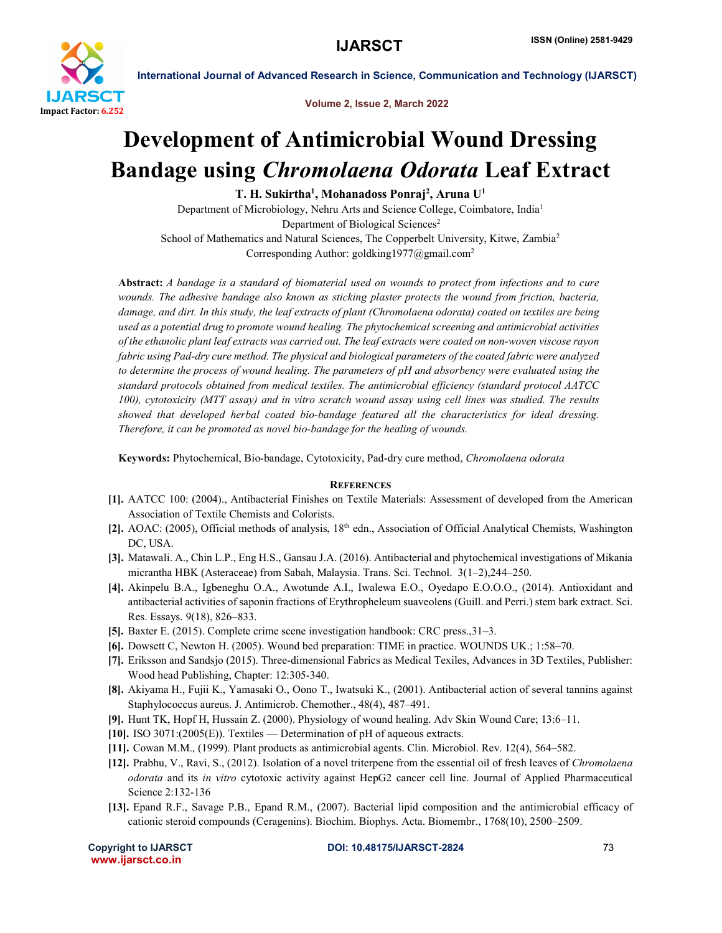

International Journal of Advanced Research in Science, Communication and Technology (IJARSCT)

Volume 2, Issue 2, March 2022

## Development of Antimicrobial Wound Dressing Bandage using *Chromolaena Odorata* Leaf Extract

T. H. Sukirtha<sup>1</sup>, Mohanadoss Ponraj<sup>2</sup>, Aruna U<sup>1</sup>

Department of Microbiology, Nehru Arts and Science College, Coimbatore, India1 Department of Biological Sciences<sup>2</sup> School of Mathematics and Natural Sciences, The Copperbelt University, Kitwe, Zambia<sup>2</sup> Corresponding Author: goldking1977@gmail.com2

Abstract: *A bandage is a standard of biomaterial used on wounds to protect from infections and to cure*  wounds. The adhesive bandage also known as sticking plaster protects the wound from friction, bacteria, *damage, and dirt. In this study, the leaf extracts of plant (Chromolaena odorata) coated on textiles are being used as a potential drug to promote wound healing. The phytochemical screening and antimicrobial activities of the ethanolic plant leaf extracts was carried out. The leaf extracts were coated on non-woven viscose rayon fabric using Pad-dry cure method. The physical and biological parameters of the coated fabric were analyzed to determine the process of wound healing. The parameters of pH and absorbency were evaluated using the standard protocols obtained from medical textiles. The antimicrobial efficiency (standard protocol AATCC 100), cytotoxicity (MTT assay) and in vitro scratch wound assay using cell lines was studied. The results showed that developed herbal coated bio-bandage featured all the characteristics for ideal dressing. Therefore, it can be promoted as novel bio-bandage for the healing of wounds.*

Keywords: Phytochemical, Bio-bandage, Cytotoxicity, Pad-dry cure method, *Chromolaena odorata*

## **REFERENCES**

- [1]. AATCC 100: (2004)., Antibacterial Finishes on Textile Materials: Assessment of developed from the American Association of Textile Chemists and Colorists.
- [2]. AOAC: (2005), Official methods of analysis,  $18<sup>th</sup>$  edn., Association of Official Analytical Chemists, Washington DC, USA.
- [3]. Matawali. A., Chin L.P., Eng H.S., Gansau J.A. (2016). Antibacterial and phytochemical investigations of Mikania micrantha HBK (Asteraceae) from Sabah, Malaysia. Trans. Sci. Technol. 3(1–2),244–250.
- [4]. Akinpelu B.A., Igbeneghu O.A., Awotunde A.I., Iwalewa E.O., Oyedapo E.O.O.O., (2014). Antioxidant and antibacterial activities of saponin fractions of Erythropheleum suaveolens (Guill. and Perri.) stem bark extract. Sci. Res. Essays. 9(18), 826–833.
- [5]. Baxter E. (2015). Complete crime scene investigation handbook: CRC press.,31–3.
- [6]. Dowsett C, Newton H. (2005). Wound bed preparation: TIME in practice. WOUNDS UK.; 1:58–70.
- [7]. Eriksson and Sandsjo (2015). Three-dimensional Fabrics as Medical Texiles, Advances in 3D Textiles, Publisher: Wood head Publishing, Chapter: 12:305-340.
- [8]. Akiyama H., Fujii K., Yamasaki O., Oono T., Iwatsuki K., (2001). Antibacterial action of several tannins against Staphylococcus aureus. J. Antimicrob. Chemother., 48(4), 487–491.
- [9]. Hunt TK, Hopf H, Hussain Z. (2000). Physiology of wound healing. Adv Skin Wound Care; 13:6–11.
- [10]. ISO 3071:(2005(E)). Textiles Determination of pH of aqueous extracts.
- [11]. Cowan M.M., (1999). Plant products as antimicrobial agents. Clin. Microbiol. Rev. 12(4), 564–582.
- [12]. Prabhu, V., Ravi, S., (2012). Isolation of a novel triterpene from the essential oil of fresh leaves of *Chromolaena odorata* and its *in vitro* cytotoxic activity against HepG2 cancer cell line. Journal of Applied Pharmaceutical Science 2:132-136
- [13]. Epand R.F., Savage P.B., Epand R.M., (2007). Bacterial lipid composition and the antimicrobial efficacy of cationic steroid compounds (Ceragenins). Biochim. Biophys. Acta. Biomembr., 1768(10), 2500–2509.